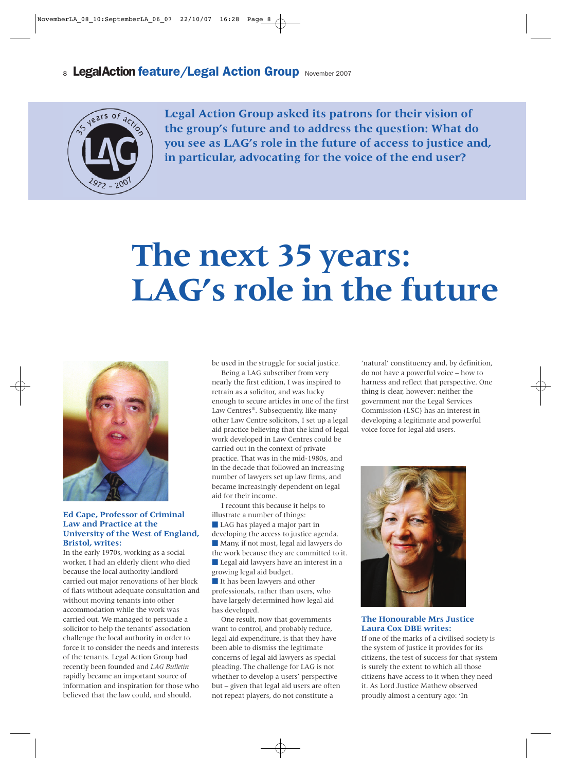

**Legal Action Group asked its patrons for their vision of the group's future and to address the question: What do you see as LAG's role in the future of access to justice and, in particular, advocating for the voice of the end user?**

# **The next 35 years: LAG's role in the future**



### **Ed Cape, Professor of Criminal Law and Practice at the University of the West of England, Bristol, writes:**

In the early 1970s, working as a social worker, I had an elderly client who died because the local authority landlord carried out major renovations of her block of flats without adequate consultation and without moving tenants into other accommodation while the work was carried out. We managed to persuade a solicitor to help the tenants' association challenge the local authority in order to force it to consider the needs and interests of the tenants. Legal Action Group had recently been founded and *LAG Bulletin* rapidly became an important source of information and inspiration for those who believed that the law could, and should,

be used in the struggle for social justice.

Being a LAG subscriber from very nearly the first edition, I was inspired to retrain as a solicitor, and was lucky enough to secure articles in one of the first Law Centres®. Subsequently, like many other Law Centre solicitors, I set up a legal aid practice believing that the kind of legal work developed in Law Centres could be carried out in the context of private practice. That was in the mid-1980s, and in the decade that followed an increasing number of lawyers set up law firms, and became increasingly dependent on legal aid for their income.

I recount this because it helps to illustrate a number of things: **LAG** has played a major part in developing the access to justice agenda. **Many**, if not most, legal aid lawyers do the work because they are committed to it. **Legal aid lawyers have an interest in a** growing legal aid budget. It has been lawyers and other professionals, rather than users, who have largely determined how legal aid has developed.

One result, now that governments want to control, and probably reduce, legal aid expenditure, is that they have been able to dismiss the legitimate concerns of legal aid lawyers as special pleading. The challenge for LAG is not whether to develop a users' perspective but – given that legal aid users are often not repeat players, do not constitute a

'natural' constituency and, by definition, do not have a powerful voice – how to harness and reflect that perspective. One thing is clear, however: neither the government nor the Legal Services Commission (LSC) has an interest in developing a legitimate and powerful voice force for legal aid users.



#### **The Honourable Mrs Justice Laura Cox DBE writes:**

If one of the marks of a civilised society is the system of justice it provides for its citizens, the test of success for that system is surely the extent to which all those citizens have access to it when they need it. As Lord Justice Mathew observed proudly almost a century ago: 'In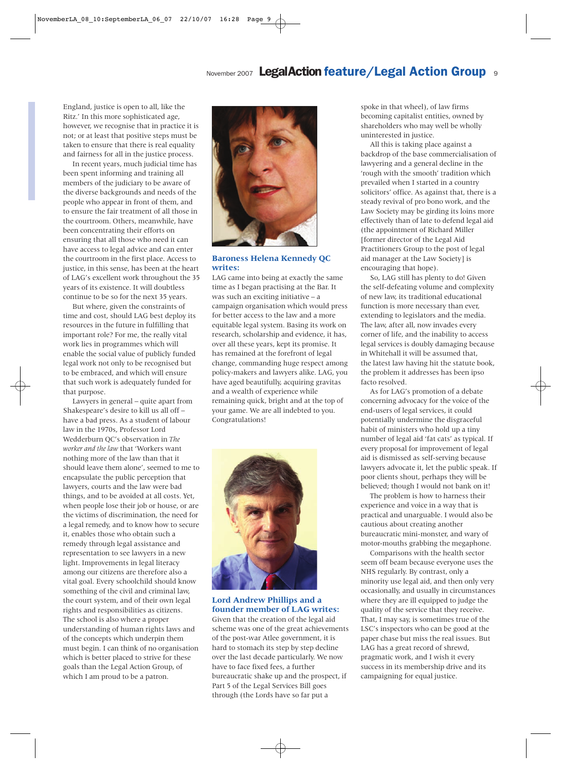# November 2007 Legal Action feature/Legal Action Group 9

England, justice is open to all, like the Ritz.' In this more sophisticated age, however, we recognise that in practice it is not; or at least that positive steps must be taken to ensure that there is real equality and fairness for all in the justice process.

In recent years, much judicial time has been spent informing and training all members of the judiciary to be aware of the diverse backgrounds and needs of the people who appear in front of them, and to ensure the fair treatment of all those in the courtroom. Others, meanwhile, have been concentrating their efforts on ensuring that all those who need it can have access to legal advice and can enter the courtroom in the first place. Access to justice, in this sense, has been at the heart of LAG's excellent work throughout the 35 years of its existence. It will doubtless continue to be so for the next 35 years.

But where, given the constraints of time and cost, should LAG best deploy its resources in the future in fulfilling that important role? For me, the really vital work lies in programmes which will enable the social value of publicly funded legal work not only to be recognised but to be embraced, and which will ensure that such work is adequately funded for that purpose.

Lawyers in general – quite apart from Shakespeare's desire to kill us all off – have a bad press. As a student of labour law in the 1970s, Professor Lord Wedderburn QC's observation in *The worker and the law* that 'Workers want nothing more of the law than that it should leave them alone', seemed to me to encapsulate the public perception that lawyers, courts and the law were bad things, and to be avoided at all costs. Yet, when people lose their job or house, or are the victims of discrimination, the need for a legal remedy, and to know how to secure it, enables those who obtain such a remedy through legal assistance and representation to see lawyers in a new light. Improvements in legal literacy among our citizens are therefore also a vital goal. Every schoolchild should know something of the civil and criminal law, the court system, and of their own legal rights and responsibilities as citizens. The school is also where a proper understanding of human rights laws and of the concepts which underpin them must begin. I can think of no organisation which is better placed to strive for these goals than the Legal Action Group, of which I am proud to be a patron.



### **Baroness Helena Kennedy QC writes:**

LAG came into being at exactly the same time as I began practising at the Bar. It was such an exciting initiative – a campaign organisation which would press for better access to the law and a more equitable legal system. Basing its work on research, scholarship and evidence, it has, over all these years, kept its promise. It has remained at the forefront of legal change, commanding huge respect among policy-makers and lawyers alike. LAG, you have aged beautifully, acquiring gravitas and a wealth of experience while remaining quick, bright and at the top of your game. We are all indebted to you. Congratulations!



## **Lord Andrew Phillips and a founder member of LAG writes:**

Given that the creation of the legal aid scheme was one of the great achievements of the post-war Atlee government, it is hard to stomach its step by step decline over the last decade particularly. We now have to face fixed fees, a further bureaucratic shake up and the prospect, if Part 5 of the Legal Services Bill goes through (the Lords have so far put a

spoke in that wheel), of law firms becoming capitalist entities, owned by shareholders who may well be wholly uninterested in justice.

All this is taking place against a backdrop of the base commercialisation of lawyering and a general decline in the 'rough with the smooth' tradition which prevailed when I started in a country solicitors' office. As against that, there is a steady revival of pro bono work, and the Law Society may be girding its loins more effectively than of late to defend legal aid (the appointment of Richard Miller [former director of the Legal Aid Practitioners Group to the post of legal aid manager at the Law Society] is encouraging that hope).

So, LAG still has plenty to do! Given the self-defeating volume and complexity of new law, its traditional educational function is more necessary than ever, extending to legislators and the media. The law, after all, now invades every corner of life, and the inability to access legal services is doubly damaging because in Whitehall it will be assumed that, the latest law having hit the statute book, the problem it addresses has been ipso facto resolved.

As for LAG's promotion of a debate concerning advocacy for the voice of the end-users of legal services, it could potentially undermine the disgraceful habit of ministers who hold up a tiny number of legal aid 'fat cats' as typical. If every proposal for improvement of legal aid is dismissed as self-serving because lawyers advocate it, let the public speak. If poor clients shout, perhaps they will be believed; though I would not bank on it!

The problem is how to harness their experience and voice in a way that is practical and unarguable. I would also be cautious about creating another bureaucratic mini-monster, and wary of motor-mouths grabbing the megaphone.

Comparisons with the health sector seem off beam because everyone uses the NHS regularly. By contrast, only a minority use legal aid, and then only very occasionally, and usually in circumstances where they are ill equipped to judge the quality of the service that they receive. That, I may say, is sometimes true of the LSC's inspectors who can be good at the paper chase but miss the real issues. But LAG has a great record of shrewd, pragmatic work, and I wish it every success in its membership drive and its campaigning for equal justice.